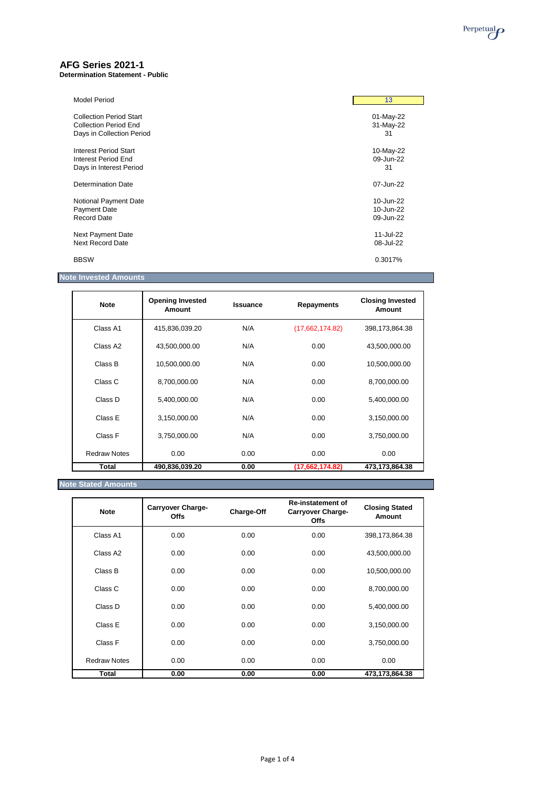

## **AFG Series 2021-1**

**Determination Statement - Public**

| <b>Model Period</b>            | 13        |
|--------------------------------|-----------|
| <b>Collection Period Start</b> | 01-May-22 |
| <b>Collection Period End</b>   | 31-May-22 |
| Days in Collection Period      | 31        |
| <b>Interest Period Start</b>   | 10-May-22 |
| <b>Interest Period End</b>     | 09-Jun-22 |
| Days in Interest Period        | 31        |
| <b>Determination Date</b>      | 07-Jun-22 |
| Notional Payment Date          | 10-Jun-22 |
| Payment Date                   | 10-Jun-22 |
| <b>Record Date</b>             | 09-Jun-22 |
| Next Payment Date              | 11-Jul-22 |
| <b>Next Record Date</b>        | 08-Jul-22 |
| <b>BBSW</b>                    | 0.3017%   |

# **Note Invested Amounts**

| <b>Note</b>          | <b>Opening Invested</b><br>Amount | <b>Issuance</b> | <b>Repayments</b> | <b>Closing Invested</b><br><b>Amount</b> |
|----------------------|-----------------------------------|-----------------|-------------------|------------------------------------------|
| Class A1             | 415,836,039.20                    | N/A             | (17,662,174.82)   | 398,173,864.38                           |
| Class A <sub>2</sub> | 43,500,000.00                     | N/A             | 0.00              | 43,500,000.00                            |
| Class B              | 10,500,000.00                     | N/A             | 0.00              | 10,500,000.00                            |
| Class C              | 8,700,000.00                      | N/A             | 0.00              | 8,700,000.00                             |
| Class D              | 5,400,000.00                      | N/A             | 0.00              | 5,400,000.00                             |
| Class E              | 3,150,000.00                      | N/A             | 0.00              | 3,150,000.00                             |
| Class F              | 3,750,000.00                      | N/A             | 0.00              | 3,750,000.00                             |
| <b>Redraw Notes</b>  | 0.00                              | 0.00            | 0.00              | 0.00                                     |
| Total                | 490,836,039.20                    | 0.00            | (17,662,174.82)   | 473,173,864.38                           |

## **Note Stated Amounts**

| <b>Note</b>          | <b>Carryover Charge-</b><br><b>Offs</b> | <b>Charge-Off</b> | <b>Re-instatement of</b><br><b>Carryover Charge-</b><br><b>Offs</b> | <b>Closing Stated</b><br><b>Amount</b> |
|----------------------|-----------------------------------------|-------------------|---------------------------------------------------------------------|----------------------------------------|
| Class A1             | 0.00                                    | 0.00              | 0.00                                                                | 398,173,864.38                         |
| Class A <sub>2</sub> | 0.00                                    | 0.00              | 0.00                                                                | 43,500,000.00                          |
| Class B              | 0.00                                    | 0.00              | 0.00                                                                | 10,500,000.00                          |
| Class C              | 0.00                                    | 0.00              | 0.00                                                                | 8,700,000.00                           |
| Class D              | 0.00                                    | 0.00              | 0.00                                                                | 5,400,000.00                           |

| Total               | 0.00 | 0.00 | 0.00 | 473,173,864.38 |
|---------------------|------|------|------|----------------|
| <b>Redraw Notes</b> | 0.00 | 0.00 | 0.00 | 0.00           |
| Class F             | 0.00 | 0.00 | 0.00 | 3,750,000.00   |
| Class E             | 0.00 | 0.00 | 0.00 | 3,150,000.00   |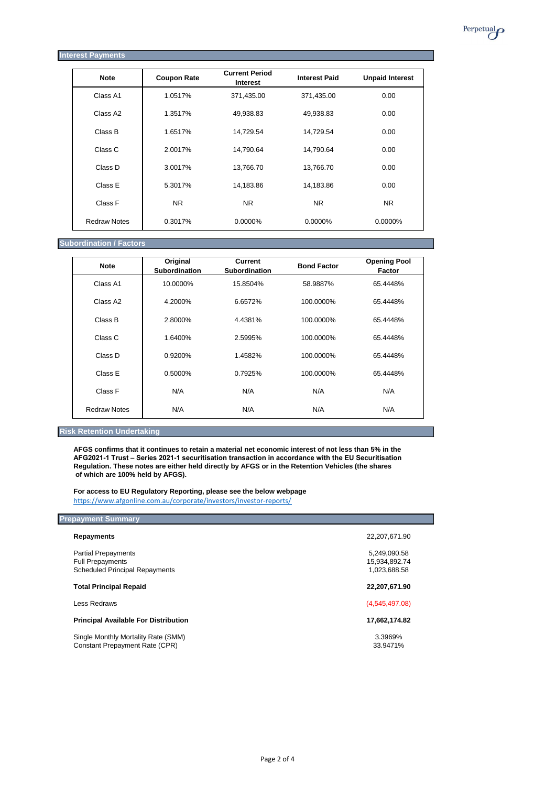| <b>Interest Payments</b> |                    |                                          |                      |                        |
|--------------------------|--------------------|------------------------------------------|----------------------|------------------------|
| <b>Note</b>              | <b>Coupon Rate</b> | <b>Current Period</b><br><b>Interest</b> | <b>Interest Paid</b> | <b>Unpaid Interest</b> |
| Class A1                 | 1.0517%            | 371,435.00                               | 371,435.00           | 0.00                   |
| Class A2                 | 1.3517%            | 49,938.83                                | 49,938.83            | 0.00                   |
| Class B                  | 1.6517%            | 14,729.54                                | 14,729.54            | 0.00                   |
| Class C                  | 2.0017%            | 14,790.64                                | 14,790.64            | 0.00                   |
| Class D                  | 3.0017%            | 13,766.70                                | 13,766.70            | 0.00                   |
| Class E                  | 5.3017%            | 14,183.86                                | 14,183.86            | 0.00                   |
| Class F                  | <b>NR</b>          | <b>NR</b>                                | <b>NR</b>            | <b>NR</b>              |
| <b>Redraw Notes</b>      | 0.3017%            | 0.0000%                                  | 0.0000%              | 0.0000%                |

#### **Subordination / Factors**

| <b>Note</b>          | Original<br><b>Subordination</b> | <b>Current</b><br><b>Subordination</b> | <b>Bond Factor</b> | <b>Opening Pool</b><br><b>Factor</b> |
|----------------------|----------------------------------|----------------------------------------|--------------------|--------------------------------------|
| Class A1             | 10.0000%                         | 15.8504%                               | 58.9887%           | 65.4448%                             |
| Class A <sub>2</sub> | 4.2000%                          | 6.6572%                                | 100.0000%          | 65.4448%                             |
| Class B              | 2.8000%                          | 4.4381%                                | 100.0000%          | 65.4448%                             |
| Class C              | 1.6400%                          | 2.5995%                                | 100.0000%          | 65.4448%                             |
| Class D              | 0.9200%                          | 1.4582%                                | 100.0000%          | 65.4448%                             |
| Class E              | 0.5000%                          | 0.7925%                                | 100.0000%          | 65.4448%                             |
| Class F              | N/A                              | N/A                                    | N/A                | N/A                                  |
| <b>Redraw Notes</b>  | N/A                              | N/A                                    | N/A                | N/A                                  |

#### **Risk Retention Undertaking**

**AFGS confirms that it continues to retain a material net economic interest of not less than 5% in the AFG2021-1 Trust – Series 2021-1 securitisation transaction in accordance with the EU Securitisation Regulation. These notes are either held directly by AFGS or in the Retention Vehicles (the shares of which are 100% held by AFGS).**

**For access to EU Regulatory Reporting, please see the below webpage** <https://www.afgonline.com.au/corporate/investors/investor-reports/>

| <b>Prepayment Summary</b>                   |                |
|---------------------------------------------|----------------|
| <b>Repayments</b>                           | 22,207,671.90  |
| <b>Partial Prepayments</b>                  | 5,249,090.58   |
| <b>Full Prepayments</b>                     | 15,934,892.74  |
| <b>Scheduled Principal Repayments</b>       | 1,023,688.58   |
| <b>Total Principal Repaid</b>               | 22,207,671.90  |
| Less Redraws                                | (4,545,497.08) |
| <b>Principal Available For Distribution</b> | 17,662,174.82  |

Single Monthly Mortality Rate (SMM) 3.3969% Constant Prepayment Rate (CPR) 33.9471% Perpetual<sub>*O*</sub>

Page 2 of 4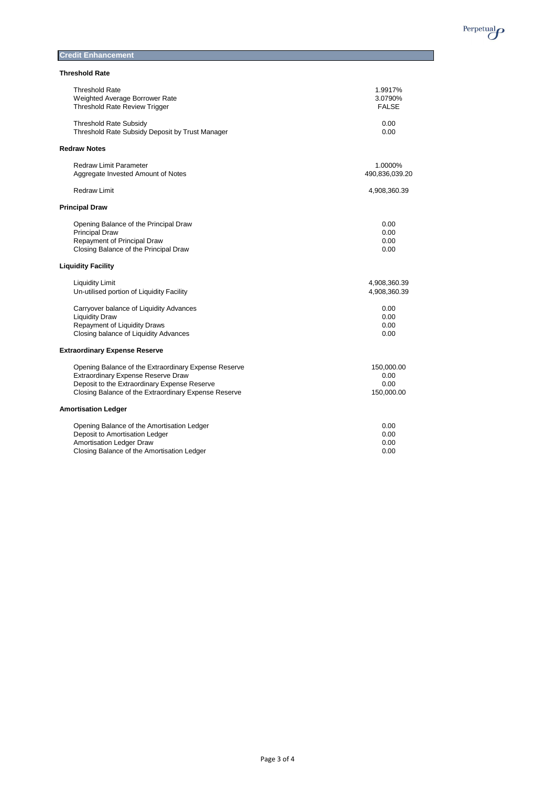

**Credit Enhancement** 

#### **Threshold Rate**

| <b>Threshold Rate</b>                                | 1.9917%        |
|------------------------------------------------------|----------------|
| Weighted Average Borrower Rate                       | 3.0790%        |
| <b>Threshold Rate Review Trigger</b>                 | <b>FALSE</b>   |
| <b>Threshold Rate Subsidy</b>                        | 0.00           |
| Threshold Rate Subsidy Deposit by Trust Manager      | 0.00           |
| <b>Redraw Notes</b>                                  |                |
| <b>Redraw Limit Parameter</b>                        | 1.0000%        |
| Aggregate Invested Amount of Notes                   | 490,836,039.20 |
| <b>Redraw Limit</b>                                  | 4,908,360.39   |
| <b>Principal Draw</b>                                |                |
| Opening Balance of the Principal Draw                | 0.00           |
| <b>Principal Draw</b>                                | 0.00           |
| Repayment of Principal Draw                          | 0.00           |
| Closing Balance of the Principal Draw                | 0.00           |
| <b>Liquidity Facility</b>                            |                |
| <b>Liquidity Limit</b>                               | 4,908,360.39   |
| Un-utilised portion of Liquidity Facility            | 4,908,360.39   |
| Carryover balance of Liquidity Advances              | 0.00           |
| <b>Liquidity Draw</b>                                | 0.00           |
| <b>Repayment of Liquidity Draws</b>                  | 0.00           |
| Closing balance of Liquidity Advances                | 0.00           |
| <b>Extraordinary Expense Reserve</b>                 |                |
| Opening Balance of the Extraordinary Expense Reserve | 150,000.00     |
| Extraordinary Expense Reserve Draw                   | 0.00           |
| Deposit to the Extraordinary Expense Reserve         | 0.00           |
| Closing Balance of the Extraordinary Expense Reserve | 150,000.00     |
| <b>Amortisation Ledger</b>                           |                |
| Opening Balance of the Amortisation Ledger           | 0.00           |
| Deposit to Amortisation Ledger                       | 0.00           |
| <b>Amortisation Ledger Draw</b>                      | 0.00           |
| Closing Balance of the Amortisation Ledger           | 0.00           |

Page 3 of 4